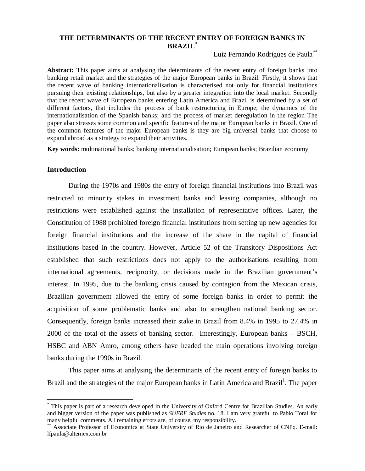# **THE DETERMINANTS OF THE RECENT ENTRY OF FOREIGN BANKS IN BRAZIL\***

Luiz Fernando Rodrigues de Paula\*\*

**Abstract:** This paper aims at analysing the determinants of the recent entry of foreign banks into banking retail market and the strategies of the major European banks in Brazil. Firstly, it shows that the recent wave of banking internationalisation is characterised not only for financial institutions pursuing their existing relationships, but also by a greater integration into the local market. Secondly that the recent wave of European banks entering Latin America and Brazil is determined by a set of different factors, that includes the process of bank restructuring in Europe; the dynamics of the internationalisation of the Spanish banks; and the process of market deregulation in the region The paper also stresses some common and specific features of the major European banks in Brazil. One of the common features of the major European banks is they are big universal banks that choose to expand abroad as a strategy to expand their activities.

**Key words:** multinational banks; banking internationalisation; European banks; Brazilian economy

## **Introduction**

 $\overline{a}$ 

During the 1970s and 1980s the entry of foreign financial institutions into Brazil was restricted to minority stakes in investment banks and leasing companies, although no restrictions were established against the installation of representative offices. Later, the Constitution of 1988 prohibited foreign financial institutions from setting up new agencies for foreign financial institutions and the increase of the share in the capital of financial institutions based in the country. However, Article 52 of the Transitory Dispositions Act established that such restrictions does not apply to the authorisations resulting from international agreements, reciprocity, or decisions made in the Brazilian government's interest. In 1995, due to the banking crisis caused by contagion from the Mexican crisis, Brazilian government allowed the entry of some foreign banks in order to permit the acquisition of some problematic banks and also to strengthen national banking sector. Consequently, foreign banks increased their stake in Brazil from 8.4% in 1995 to 27.4% in 2000 of the total of the assets of banking sector. Interestingly, European banks – BSCH, HSBC and ABN Amro, among others have headed the main operations involving foreign banks during the 1990s in Brazil.

This paper aims at analysing the determinants of the recent entry of foreign banks to Brazil and the strategies of the major European banks in Latin America and Brazil<sup>1</sup>. The paper

<sup>\*</sup> This paper is part of a research developed in the University of Oxford Centre for Brazilian Studies. An early and bigger version of the paper was published as *SUERF Studies* no. 18. I am very grateful to Pablo Toral for many helpful comments. All remaining errors are, of course, my responsibility.

<sup>\*\*</sup> Associate Professor of Economics at State University of Rio de Janeiro and Researcher of CNPq. E-mail: lfpaula@alternex.com.br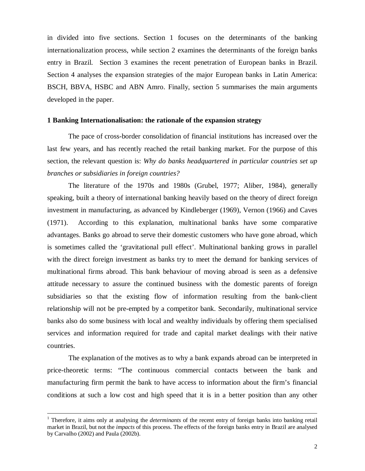in divided into five sections. Section 1 focuses on the determinants of the banking internationalization process, while section 2 examines the determinants of the foreign banks entry in Brazil. Section 3 examines the recent penetration of European banks in Brazil. Section 4 analyses the expansion strategies of the major European banks in Latin America: BSCH, BBVA, HSBC and ABN Amro. Finally, section 5 summarises the main arguments developed in the paper.

## **1 Banking Internationalisation: the rationale of the expansion strategy**

The pace of cross-border consolidation of financial institutions has increased over the last few years, and has recently reached the retail banking market. For the purpose of this section, the relevant question is: *Why do banks headquartered in particular countries set up branches or subsidiaries in foreign countries?*

The literature of the 1970s and 1980s (Grubel, 1977; Aliber, 1984), generally speaking, built a theory of international banking heavily based on the theory of direct foreign investment in manufacturing, as advanced by Kindleberger (1969), Vernon (1966) and Caves (1971). According to this explanation, multinational banks have some comparative advantages. Banks go abroad to serve their domestic customers who have gone abroad, which is sometimes called the 'gravitational pull effect'. Multinational banking grows in parallel with the direct foreign investment as banks try to meet the demand for banking services of multinational firms abroad. This bank behaviour of moving abroad is seen as a defensive attitude necessary to assure the continued business with the domestic parents of foreign subsidiaries so that the existing flow of information resulting from the bank-client relationship will not be pre-empted by a competitor bank. Secondarily, multinational service banks also do some business with local and wealthy individuals by offering them specialised services and information required for trade and capital market dealings with their native countries.

The explanation of the motives as to why a bank expands abroad can be interpreted in price-theoretic terms: "The continuous commercial contacts between the bank and manufacturing firm permit the bank to have access to information about the firm's financial conditions at such a low cost and high speed that it is in a better position than any other

 $\frac{1}{1}$  Therefore, it aims only at analysing the *determinants* of the recent entry of foreign banks into banking retail market in Brazil, but not the *impacts* of this process. The effects of the foreign banks entry in Brazil are analysed by Carvalho (2002) and Paula (2002b).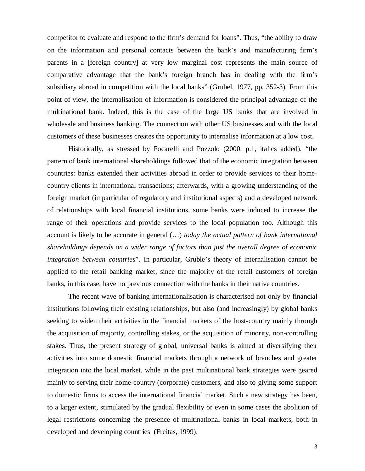competitor to evaluate and respond to the firm's demand for loans". Thus, "the ability to draw on the information and personal contacts between the bank's and manufacturing firm's parents in a [foreign country] at very low marginal cost represents the main source of comparative advantage that the bank's foreign branch has in dealing with the firm's subsidiary abroad in competition with the local banks" (Grubel, 1977, pp. 352-3). From this point of view, the internalisation of information is considered the principal advantage of the multinational bank. Indeed, this is the case of the large US banks that are involved in wholesale and business banking. The connection with other US businesses and with the local customers of these businesses creates the opportunity to internalise information at a low cost.

Historically, as stressed by Focarelli and Pozzolo (2000, p.1, italics added), "the pattern of bank international shareholdings followed that of the economic integration between countries: banks extended their activities abroad in order to provide services to their homecountry clients in international transactions; afterwards, with a growing understanding of the foreign market (in particular of regulatory and institutional aspects) and a developed network of relationships with local financial institutions, some banks were induced to increase the range of their operations and provide services to the local population too. Although this account is likely to be accurate in general (…) *today the actual pattern of bank international shareholdings depends on a wider range of factors than just the overall degree of economic integration between countries*". In particular, Gruble's theory of internalisation cannot be applied to the retail banking market, since the majority of the retail customers of foreign banks, in this case, have no previous connection with the banks in their native countries.

The recent wave of banking internationalisation is characterised not only by financial institutions following their existing relationships, but also (and increasingly) by global banks seeking to widen their activities in the financial markets of the host-country mainly through the acquisition of majority, controlling stakes, or the acquisition of minority, non-controlling stakes. Thus, the present strategy of global, universal banks is aimed at diversifying their activities into some domestic financial markets through a network of branches and greater integration into the local market, while in the past multinational bank strategies were geared mainly to serving their home-country (corporate) customers, and also to giving some support to domestic firms to access the international financial market. Such a new strategy has been, to a larger extent, stimulated by the gradual flexibility or even in some cases the abolition of legal restrictions concerning the presence of multinational banks in local markets, both in developed and developing countries (Freitas, 1999).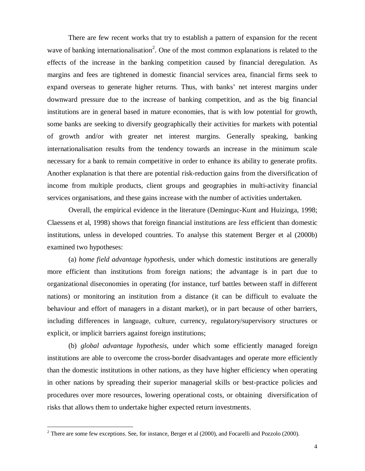There are few recent works that try to establish a pattern of expansion for the recent wave of banking internationalisation<sup>2</sup>. One of the most common explanations is related to the effects of the increase in the banking competition caused by financial deregulation. As margins and fees are tightened in domestic financial services area, financial firms seek to expand overseas to generate higher returns. Thus, with banks' net interest margins under downward pressure due to the increase of banking competition, and as the big financial institutions are in general based in mature economies, that is with low potential for growth, some banks are seeking to diversify geographically their activities for markets with potential of growth and/or with greater net interest margins. Generally speaking, banking internationalisation results from the tendency towards an increase in the minimum scale necessary for a bank to remain competitive in order to enhance its ability to generate profits. Another explanation is that there are potential risk-reduction gains from the diversification of income from multiple products, client groups and geographies in multi-activity financial services organisations, and these gains increase with the number of activities undertaken.

Overall, the empirical evidence in the literature (Deminguc-Kunt and Huizinga, 1998; Claessens et al, 1998) shows that foreign financial institutions are *less* efficient than domestic institutions, unless in developed countries. To analyse this statement Berger et al (2000b) examined two hypotheses:

(a) *home field advantage hypothesis*, under which domestic institutions are generally more efficient than institutions from foreign nations; the advantage is in part due to organizational diseconomies in operating (for instance, turf battles between staff in different nations) or monitoring an institution from a distance (it can be difficult to evaluate the behaviour and effort of managers in a distant market), or in part because of other barriers, including differences in language, culture, currency, regulatory/supervisory structures or explicit, or implicit barriers against foreign institutions;

(b) *global advantage hypothesis*, under which some efficiently managed foreign institutions are able to overcome the cross-border disadvantages and operate more efficiently than the domestic institutions in other nations, as they have higher efficiency when operating in other nations by spreading their superior managerial skills or best-practice policies and procedures over more resources, lowering operational costs, or obtaining diversification of risks that allows them to undertake higher expected return investments.

 $2$  There are some few exceptions. See, for instance, Berger et al (2000), and Focarelli and Pozzolo (2000).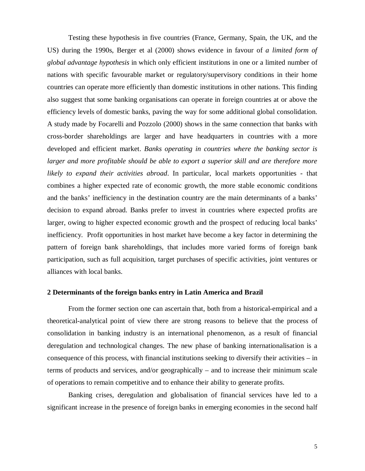Testing these hypothesis in five countries (France, Germany, Spain, the UK, and the US) during the 1990s, Berger et al (2000) shows evidence in favour of *a limited form of global advantage hypothesis* in which only efficient institutions in one or a limited number of nations with specific favourable market or regulatory/supervisory conditions in their home countries can operate more efficiently than domestic institutions in other nations. This finding also suggest that some banking organisations can operate in foreign countries at or above the efficiency levels of domestic banks, paving the way for some additional global consolidation. A study made by Focarelli and Pozzolo (2000) shows in the same connection that banks with cross-border shareholdings are larger and have headquarters in countries with a more developed and efficient market. *Banks operating in countries where the banking sector is larger and more profitable should be able to export a superior skill and are therefore more likely to expand their activities abroad*. In particular, local markets opportunities - that combines a higher expected rate of economic growth, the more stable economic conditions and the banks' inefficiency in the destination country are the main determinants of a banks' decision to expand abroad. Banks prefer to invest in countries where expected profits are larger, owing to higher expected economic growth and the prospect of reducing local banks' inefficiency. Profit opportunities in host market have become a key factor in determining the pattern of foreign bank shareholdings, that includes more varied forms of foreign bank participation, such as full acquisition, target purchases of specific activities, joint ventures or alliances with local banks.

## **2 Determinants of the foreign banks entry in Latin America and Brazil**

From the former section one can ascertain that, both from a historical-empirical and a theoretical-analytical point of view there are strong reasons to believe that the process of consolidation in banking industry is an international phenomenon, as a result of financial deregulation and technological changes. The new phase of banking internationalisation is a consequence of this process, with financial institutions seeking to diversify their activities – in terms of products and services, and/or geographically – and to increase their minimum scale of operations to remain competitive and to enhance their ability to generate profits.

Banking crises, deregulation and globalisation of financial services have led to a significant increase in the presence of foreign banks in emerging economies in the second half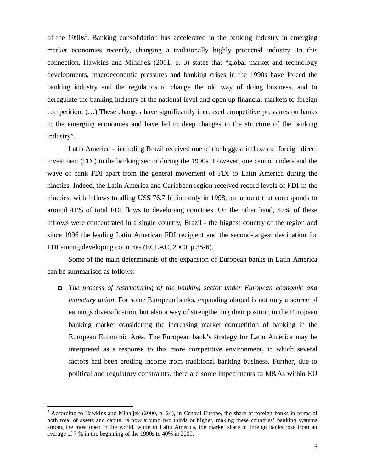of the 1990s<sup>3</sup>. Banking consolidation has accelerated in the banking industry in emerging market economies recently, changing a traditionally highly protected industry. In this connection, Hawkins and Mihaljek (2001, p. 3) states that "global market and technology developments, macroeconomic pressures and banking crises in the 1990s have forced the banking industry and the regulators to change the old way of doing business, and to deregulate the banking industry at the national level and open up financial markets to foreign competition. (…) These changes have significantly increased competitive pressures on banks in the emerging economies and have led to deep changes in the structure of the banking industry".

Latin America – including Brazil received one of the biggest influxes of foreign direct investment (FDI) in the banking sector during the 1990s. However, one cannot understand the wave of bank FDI apart from the general movement of FDI to Latin America during the nineties. Indeed, the Latin America and Caribbean region received record levels of FDI in the nineties, with inflows totalling US\$ 76.7 billion only in 1998, an amount that corresponds to around 41% of total FDI flows to developing countries. On the other hand, 42% of these inflows were concentrated in a single country, Brazil - the biggest country of the region and since 1996 the leading Latin American FDI recipient and the second-largest destination for FDI among developing countries (ECLAC, 2000, p.35-6).

Some of the main determinants of the expansion of European banks in Latin America can be summarised as follows:

 *The process of restructuring of the banking sector under European economic and monetary union*. For some European banks, expanding abroad is not only a source of earnings diversification, but also a way of strengthening their position in the European banking market considering the increasing market competition of banking in the European Economic Area. The European bank's strategy for Latin America may be interpreted as a response to this more competitive environment, in which several factors had been eroding income from traditional banking business. Further, due to political and regulatory constraints, there are some impediments to M&As within EU

<sup>&</sup>lt;sup>3</sup> According to Hawkins and Mihaljek (2000, p. 24), in Central Europe, the share of foreign banks in terms of both total of assets and capital is now around two thirds or higher, making these countries' banking systems among the most open in the world, while in Latin America, the market share of foreign banks rose from an average of 7 % in the beginning of the 1990s to 40% in 2000.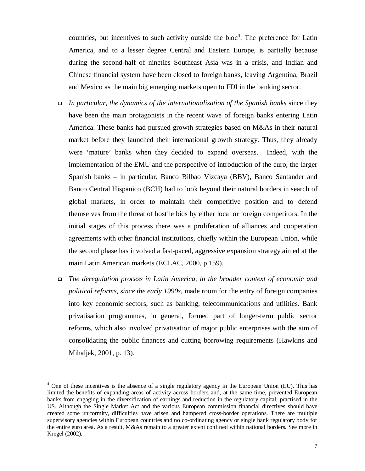countries, but incentives to such activity outside the bloc<sup>4</sup>. The preference for Latin America, and to a lesser degree Central and Eastern Europe, is partially because during the second-half of nineties Southeast Asia was in a crisis, and Indian and Chinese financial system have been closed to foreign banks, leaving Argentina, Brazil and Mexico as the main big emerging markets open to FDI in the banking sector.

- *In particular, the dynamics of the internationalisation of the Spanish banks* since they have been the main protagonists in the recent wave of foreign banks entering Latin America. These banks had pursued growth strategies based on M&As in their natural market before they launched their international growth strategy. Thus, they already were 'mature' banks when they decided to expand overseas. Indeed, with the implementation of the EMU and the perspective of introduction of the euro, the larger Spanish banks – in particular, Banco Bilbao Vizcaya (BBV), Banco Santander and Banco Central Hispanico (BCH) had to look beyond their natural borders in search of global markets, in order to maintain their competitive position and to defend themselves from the threat of hostile bids by either local or foreign competitors. In the initial stages of this process there was a proliferation of alliances and cooperation agreements with other financial institutions, chiefly within the European Union, while the second phase has involved a fast-paced, aggressive expansion strategy aimed at the main Latin American markets (ECLAC, 2000, p.159).
- *The deregulation process in Latin America, in the broader context of economic and political reforms, since the early 1990s,* made room for the entry of foreign companies into key economic sectors, such as banking, telecommunications and utilities. Bank privatisation programmes, in general, formed part of longer-term public sector reforms, which also involved privatisation of major public enterprises with the aim of consolidating the public finances and cutting borrowing requirements (Hawkins and Mihaljek, 2001, p. 13).

<sup>4</sup> One of these incentives is the absence of a single regulatory agency in the European Union (EU). This has limited the benefits of expanding areas of activity across borders and, at the same time, prevented European banks from engaging in the diversification of earnings and reduction in the regulatory capital, practised in the US. Although the Single Market Act and the various European commission financial directives should have created some uniformity, difficulties have arisen and hampered cross-border operations. There are multiple supervisory agencies within European countries and no co-ordinating agency or single bank regulatory body for the entire euro area. As a result, M&As remain to a greater extent confined within national borders. See more in Kregel (2002).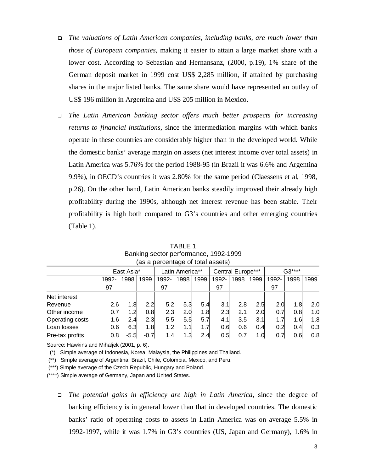- *The valuations of Latin American companies, including banks, are much lower than those of European companies,* making it easier to attain a large market share with a lower cost. According to Sebastian and Hernansanz, (2000, p.19), 1% share of the German deposit market in 1999 cost US\$ 2,285 million, if attained by purchasing shares in the major listed banks. The same share would have represented an outlay of US\$ 196 million in Argentina and US\$ 205 million in Mexico.
- *The Latin American banking sector offers much better prospects for increasing returns to financial institutions*, since the intermediation margins with which banks operate in these countries are considerably higher than in the developed world. While the domestic banks' average margin on assets (net interest income over total assets) in Latin America was 5.76% for the period 1988-95 (in Brazil it was 6.6% and Argentina 9.9%), in OECD's countries it was 2.80% for the same period (Claessens et al, 1998, p.26). On the other hand, Latin American banks steadily improved their already high profitability during the 1990s, although net interest revenue has been stable. Their profitability is high both compared to G3's countries and other emerging countries (Table 1).

|                 |       | East Asia* |        |       | Latin America**  |      |       | Central Europe*** |      | G3**** |      |      |
|-----------------|-------|------------|--------|-------|------------------|------|-------|-------------------|------|--------|------|------|
|                 | 1992- | 1998       | 1999   | 1992- | 1998             | 1999 | 1992- | 1998              | 1999 | 1992-  | 1998 | 1999 |
|                 | 97    |            |        | 97    |                  |      | 97    |                   |      | 97     |      |      |
| Net interest    |       |            |        |       |                  |      |       |                   |      |        |      |      |
| Revenue         | 2.6   | 1.8        | 2.2    | 5.2   | 5.3              | 5.4  | 3.1   | 2.8               | 2.5  | 2.0    | 1.8  | 2.0  |
| Other income    | 0.7   | 1.2        | 0.8    | 2.3   | 2.0              | 1.8  | 2.3   | 2.1               | 2.0  | 0.7    | 0.8  | 1.0  |
| Operating costs | 1.6   | 2.4        | 2.3    | 5.5   | 5.5              | 5.7  | 4.1   | 3.5               | 3.1  | 1.7    | 1.6  | 1.8  |
| Loan losses     | 0.6   | 6.3        | 1.8    | 1.2   | 1.1 <sub>1</sub> | 1.7  | 0.6   | 0.6               | 0.4  | 0.2    | 0.4  | 0.3  |
| Pre-tax profits | 0.8   | $-5.5$     | $-0.7$ | 1.4   | 1.3              | 2.4  | 0.5   | 0.7               | 1.0  | 0.7    | 0.6  | 0.8  |

TABLE 1 Banking sector performance, 1992-1999 (as a percentage of total assets)

Source: Hawkins and Mihaljek (2001, p. 6).

(\*) Simple average of Indonesia, Korea, Malaysia, the Philippines and Thailand.

(\*\*) Simple average of Argentina, Brazil, Chile, Colombia, Mexico, and Peru.

(\*\*\*) Simple average of the Czech Republic, Hungary and Poland.

(\*\*\*\*) Simple average of Germany, Japan and United States.

 *The potential gains in efficiency are high in Latin America*, since the degree of banking efficiency is in general lower than that in developed countries. The domestic banks' ratio of operating costs to assets in Latin America was on average 5.5% in 1992-1997, while it was 1.7% in G3's countries (US, Japan and Germany), 1.6% in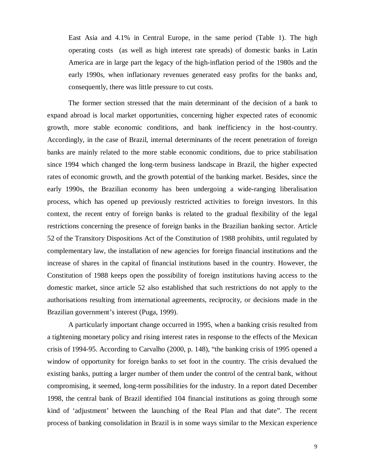East Asia and 4.1% in Central Europe, in the same period (Table 1). The high operating costs (as well as high interest rate spreads) of domestic banks in Latin America are in large part the legacy of the high-inflation period of the 1980s and the early 1990s, when inflationary revenues generated easy profits for the banks and, consequently, there was little pressure to cut costs.

The former section stressed that the main determinant of the decision of a bank to expand abroad is local market opportunities, concerning higher expected rates of economic growth, more stable economic conditions, and bank inefficiency in the host-country. Accordingly, in the case of Brazil, internal determinants of the recent penetration of foreign banks are mainly related to the more stable economic conditions, due to price stabilisation since 1994 which changed the long-term business landscape in Brazil, the higher expected rates of economic growth, and the growth potential of the banking market. Besides, since the early 1990s, the Brazilian economy has been undergoing a wide-ranging liberalisation process, which has opened up previously restricted activities to foreign investors. In this context, the recent entry of foreign banks is related to the gradual flexibility of the legal restrictions concerning the presence of foreign banks in the Brazilian banking sector. Article 52 of the Transitory Dispositions Act of the Constitution of 1988 prohibits, until regulated by complementary law, the installation of new agencies for foreign financial institutions and the increase of shares in the capital of financial institutions based in the country. However, the Constitution of 1988 keeps open the possibility of foreign institutions having access to the domestic market, since article 52 also established that such restrictions do not apply to the authorisations resulting from international agreements, reciprocity, or decisions made in the Brazilian government's interest (Puga, 1999).

A particularly important change occurred in 1995, when a banking crisis resulted from a tightening monetary policy and rising interest rates in response to the effects of the Mexican crisis of 1994-95. According to Carvalho (2000, p. 148), "the banking crisis of 1995 opened a window of opportunity for foreign banks to set foot in the country. The crisis devalued the existing banks, putting a larger number of them under the control of the central bank, without compromising, it seemed, long-term possibilities for the industry. In a report dated December 1998, the central bank of Brazil identified 104 financial institutions as going through some kind of 'adjustment' between the launching of the Real Plan and that date". The recent process of banking consolidation in Brazil is in some ways similar to the Mexican experience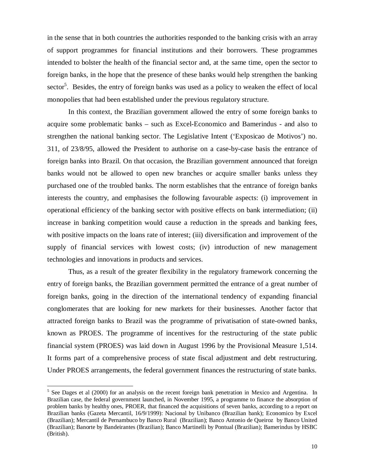in the sense that in both countries the authorities responded to the banking crisis with an array of support programmes for financial institutions and their borrowers. These programmes intended to bolster the health of the financial sector and, at the same time, open the sector to foreign banks, in the hope that the presence of these banks would help strengthen the banking sector<sup>5</sup>. Besides, the entry of foreign banks was used as a policy to weaken the effect of local monopolies that had been established under the previous regulatory structure.

In this context, the Brazilian government allowed the entry of some foreign banks to acquire some problematic banks – such as Excel-Economico and Bamerindus - and also to strengthen the national banking sector. The Legislative Intent ('Exposicao de Motivos') no. 311, of 23/8/95, allowed the President to authorise on a case-by-case basis the entrance of foreign banks into Brazil. On that occasion, the Brazilian government announced that foreign banks would not be allowed to open new branches or acquire smaller banks unless they purchased one of the troubled banks. The norm establishes that the entrance of foreign banks interests the country, and emphasises the following favourable aspects: (i) improvement in operational efficiency of the banking sector with positive effects on bank intermediation; (ii) increase in banking competition would cause a reduction in the spreads and banking fees, with positive impacts on the loans rate of interest; (iii) diversification and improvement of the supply of financial services with lowest costs; (iv) introduction of new management technologies and innovations in products and services.

Thus, as a result of the greater flexibility in the regulatory framework concerning the entry of foreign banks, the Brazilian government permitted the entrance of a great number of foreign banks, going in the direction of the international tendency of expanding financial conglomerates that are looking for new markets for their businesses. Another factor that attracted foreign banks to Brazil was the programme of privatisation of state-owned banks, known as PROES. The programme of incentives for the restructuring of the state public financial system (PROES) was laid down in August 1996 by the Provisional Measure 1,514. It forms part of a comprehensive process of state fiscal adjustment and debt restructuring. Under PROES arrangements, the federal government finances the restructuring of state banks.

<sup>&</sup>lt;sup>5</sup> See Dages et al (2000) for an analysis on the recent foreign bank penetration in Mexico and Argentina. In Brazilian case, the federal government launched, in November 1995, a programme to finance the absorption of problem banks by healthy ones, PROER, that financed the acquisitions of seven banks, according to a report on Brazilian banks (Gazeta Mercantil, 16/9/1999): Nacional by Unibanco (Brazilian bank); Economico by Excel (Brazilian); Mercantil de Pernambuco by Banco Rural (Brazilian); Banco Antonio de Queiroz by Banco United (Brazilian); Banorte by Bandeirantes (Brazilian); Banco Martinelli by Pontual (Brazilian); Bamerindus by HSBC (British).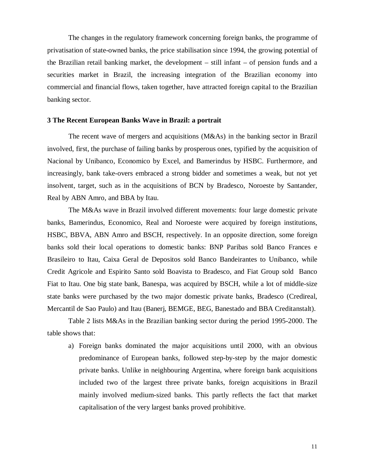The changes in the regulatory framework concerning foreign banks, the programme of privatisation of state-owned banks, the price stabilisation since 1994, the growing potential of the Brazilian retail banking market, the development – still infant – of pension funds and a securities market in Brazil, the increasing integration of the Brazilian economy into commercial and financial flows, taken together, have attracted foreign capital to the Brazilian banking sector.

#### **3 The Recent European Banks Wave in Brazil: a portrait**

The recent wave of mergers and acquisitions (M&As) in the banking sector in Brazil involved, first, the purchase of failing banks by prosperous ones, typified by the acquisition of Nacional by Unibanco, Economico by Excel, and Bamerindus by HSBC. Furthermore, and increasingly, bank take-overs embraced a strong bidder and sometimes a weak, but not yet insolvent, target, such as in the acquisitions of BCN by Bradesco, Noroeste by Santander, Real by ABN Amro, and BBA by Itau.

The M&As wave in Brazil involved different movements: four large domestic private banks, Bamerindus, Economico, Real and Noroeste were acquired by foreign institutions, HSBC, BBVA, ABN Amro and BSCH, respectively. In an opposite direction, some foreign banks sold their local operations to domestic banks: BNP Paribas sold Banco Frances e Brasileiro to Itau, Caixa Geral de Depositos sold Banco Bandeirantes to Unibanco, while Credit Agricole and Espirito Santo sold Boavista to Bradesco, and Fiat Group sold Banco Fiat to Itau. One big state bank, Banespa, was acquired by BSCH, while a lot of middle-size state banks were purchased by the two major domestic private banks, Bradesco (Credireal, Mercantil de Sao Paulo) and Itau (Banerj, BEMGE, BEG, Banestado and BBA Creditanstalt).

Table 2 lists M&As in the Brazilian banking sector during the period 1995-2000. The table shows that:

a) Foreign banks dominated the major acquisitions until 2000, with an obvious predominance of European banks, followed step-by-step by the major domestic private banks. Unlike in neighbouring Argentina, where foreign bank acquisitions included two of the largest three private banks, foreign acquisitions in Brazil mainly involved medium-sized banks. This partly reflects the fact that market capitalisation of the very largest banks proved prohibitive.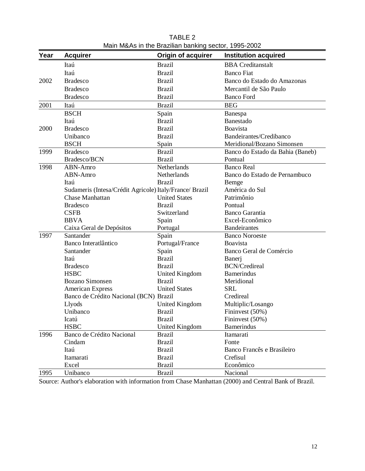| Year | <b>Acquirer</b>                                         | <b>Origin of acquirer</b> | <b>Institution acquired</b>      |
|------|---------------------------------------------------------|---------------------------|----------------------------------|
|      | Itaú                                                    | <b>Brazil</b>             | <b>BBA</b> Creditanstalt         |
|      | Itaú                                                    | <b>Brazil</b>             | <b>Banco Fiat</b>                |
| 2002 | <b>Bradesco</b>                                         | <b>Brazil</b>             | Banco do Estado do Amazonas      |
|      | <b>Bradesco</b>                                         | <b>Brazil</b>             | Mercantil de São Paulo           |
|      | <b>Bradesco</b>                                         | <b>Brazil</b>             | <b>Banco Ford</b>                |
| 2001 | Itaú                                                    | <b>Brazil</b>             | <b>BEG</b>                       |
|      | <b>BSCH</b>                                             | Spain                     | Banespa                          |
|      | Itaú                                                    | <b>Brazil</b>             | Banestado                        |
| 2000 | <b>Bradesco</b>                                         | <b>Brazil</b>             | Boavista                         |
|      | Unibanco                                                | <b>Brazil</b>             | Bandeirantes/Credibanco          |
|      | <b>BSCH</b>                                             | Spain                     | Meridional/Bozano Simonsen       |
| 1999 | <b>Bradesco</b>                                         | <b>Brazil</b>             | Banco do Estado da Bahia (Baneb) |
|      | Bradesco/BCN                                            | <b>Brazil</b>             | Pontual                          |
| 1998 | ABN-Amro                                                | Netherlands               | <b>Banco Real</b>                |
|      | ABN-Amro                                                | Netherlands               | Banco do Estado de Pernambuco    |
|      | Itaú                                                    | <b>Brazil</b>             | Bemge                            |
|      | Sudameris (Intesa/Crédit Agricole) Italy/France/ Brazil |                           | América do Sul                   |
|      | <b>Chase Manhattan</b>                                  | <b>United States</b>      | Patrimônio                       |
|      | <b>Bradesco</b>                                         | <b>Brazil</b>             | Pontual                          |
|      | <b>CSFB</b>                                             | Switzerland               | Banco Garantia                   |
|      | <b>BBVA</b>                                             | Spain                     | Excel-Econômico                  |
|      | Caixa Geral de Depósitos                                | Portugal                  | <b>Bandeirantes</b>              |
| 1997 | Santander                                               | Spain                     | <b>Banco Noroeste</b>            |
|      | Banco Interatlântico                                    | Portugal/France           | <b>B</b> oavista                 |
|      | Santander                                               | Spain                     | Banco Geral de Comércio          |
|      | Itaú                                                    | <b>Brazil</b>             | Banerj                           |
|      | <b>Bradesco</b>                                         | <b>Brazil</b>             | <b>BCN/Credireal</b>             |
|      | <b>HSBC</b>                                             | <b>United Kingdom</b>     | <b>Bamerindus</b>                |
|      | <b>Bozano Simonsen</b>                                  | <b>Brazil</b>             | Meridional                       |
|      | <b>American Express</b>                                 | <b>United States</b>      | <b>SRL</b>                       |
|      | Banco de Crédito Nacional (BCN) Brazil                  |                           | Credireal                        |
|      | Llyods                                                  | <b>United Kingdom</b>     | Multiplic/Losango                |
|      | Unibanco                                                | <b>Brazil</b>             | Fininvest (50%)                  |
|      | Icatú                                                   | <b>Brazil</b>             | Fininvest (50%)                  |
|      | <b>HSBC</b>                                             | <b>United Kingdom</b>     | <b>Bamerindus</b>                |
| 1996 | Banco de Crédito Nacional                               | <b>Brazil</b>             | Itamarati                        |
|      | Cindam                                                  | <b>Brazil</b>             | Fonte                            |
|      | Itaú                                                    | <b>Brazil</b>             | Banco Francês e Brasileiro       |
|      | Itamarati                                               | <b>Brazil</b>             | Crefisul                         |
|      | Excel                                                   | <b>Brazil</b>             | Econômico                        |
| 1995 | Unibanco                                                | <b>Brazil</b>             | Nacional                         |

TABLE 2 Main M&As in the Brazilian banking sector, 1995-2002

Source: Author's elaboration with information from Chase Manhattan (2000) and Central Bank of Brazil.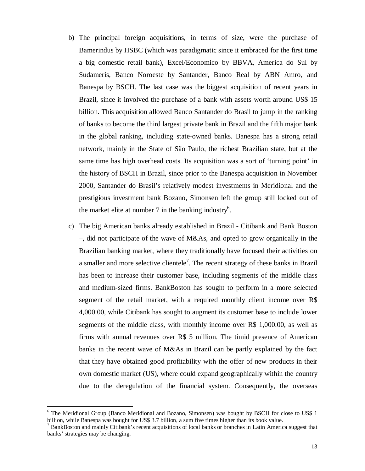- b) The principal foreign acquisitions, in terms of size, were the purchase of Bamerindus by HSBC (which was paradigmatic since it embraced for the first time a big domestic retail bank), Excel/Economico by BBVA, America do Sul by Sudameris, Banco Noroeste by Santander, Banco Real by ABN Amro, and Banespa by BSCH. The last case was the biggest acquisition of recent years in Brazil, since it involved the purchase of a bank with assets worth around US\$ 15 billion. This acquisition allowed Banco Santander do Brasil to jump in the ranking of banks to become the third largest private bank in Brazil and the fifth major bank in the global ranking, including state-owned banks. Banespa has a strong retail network, mainly in the State of São Paulo, the richest Brazilian state, but at the same time has high overhead costs. Its acquisition was a sort of 'turning point' in the history of BSCH in Brazil, since prior to the Banespa acquisition in November 2000, Santander do Brasil's relatively modest investments in Meridional and the prestigious investment bank Bozano, Simonsen left the group still locked out of the market elite at number 7 in the banking industry<sup>6</sup>.
- c) The big American banks already established in Brazil Citibank and Bank Boston –, did not participate of the wave of M&As, and opted to grow organically in the Brazilian banking market, where they traditionally have focused their activities on a smaller and more selective clientele<sup>7</sup>. The recent strategy of these banks in Brazil has been to increase their customer base, including segments of the middle class and medium-sized firms. BankBoston has sought to perform in a more selected segment of the retail market, with a required monthly client income over R\$ 4,000.00, while Citibank has sought to augment its customer base to include lower segments of the middle class, with monthly income over R\$ 1,000.00, as well as firms with annual revenues over R\$ 5 million. The timid presence of American banks in the recent wave of M&As in Brazil can be partly explained by the fact that they have obtained good profitability with the offer of new products in their own domestic market (US), where could expand geographically within the country due to the deregulation of the financial system. Consequently, the overseas

<sup>&</sup>lt;sup>6</sup> The Meridional Group (Banco Meridional and Bozano, Simonsen) was bought by BSCH for close to US\$ 1 billion, while Banespa was bought for US\$ 3.7 billion, a sum five times higher than its book value.

<sup>&</sup>lt;sup>7</sup> BankBoston and mainly Citibank's recent acquisitions of local banks or branches in Latin America suggest that banks' strategies may be changing.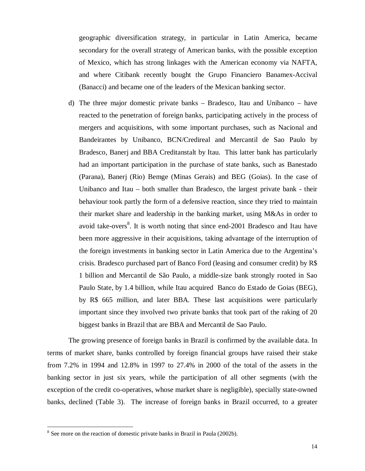geographic diversification strategy, in particular in Latin America, became secondary for the overall strategy of American banks, with the possible exception of Mexico, which has strong linkages with the American economy via NAFTA, and where Citibank recently bought the Grupo Financiero Banamex-Accival (Banacci) and became one of the leaders of the Mexican banking sector.

d) The three major domestic private banks – Bradesco, Itau and Unibanco – have reacted to the penetration of foreign banks, participating actively in the process of mergers and acquisitions, with some important purchases, such as Nacional and Bandeirantes by Unibanco, BCN/Credireal and Mercantil de Sao Paulo by Bradesco, Banerj and BBA Creditanstalt by Itau. This latter bank has particularly had an important participation in the purchase of state banks, such as Banestado (Parana), Banerj (Rio) Bemge (Minas Gerais) and BEG (Goias). In the case of Unibanco and Itau – both smaller than Bradesco, the largest private bank - their behaviour took partly the form of a defensive reaction, since they tried to maintain their market share and leadership in the banking market, using M&As in order to avoid take-overs<sup>8</sup>. It is worth noting that since end-2001 Bradesco and Itau have been more aggressive in their acquisitions, taking advantage of the interruption of the foreign investments in banking sector in Latin America due to the Argentina's crisis. Bradesco purchased part of Banco Ford (leasing and consumer credit) by R\$ 1 billion and Mercantil de São Paulo, a middle-size bank strongly rooted in Sao Paulo State, by 1.4 billion, while Itau acquired Banco do Estado de Goias (BEG), by R\$ 665 million, and later BBA. These last acquisitions were particularly important since they involved two private banks that took part of the raking of 20 biggest banks in Brazil that are BBA and Mercantil de Sao Paulo.

The growing presence of foreign banks in Brazil is confirmed by the available data. In terms of market share, banks controlled by foreign financial groups have raised their stake from 7.2% in 1994 and 12.8% in 1997 to 27.4% in 2000 of the total of the assets in the banking sector in just six years, while the participation of all other segments (with the exception of the credit co-operatives, whose market share is negligible), specially state-owned banks, declined (Table 3). The increase of foreign banks in Brazil occurred, to a greater

<sup>&</sup>lt;sup>8</sup> See more on the reaction of domestic private banks in Brazil in Paula (2002b).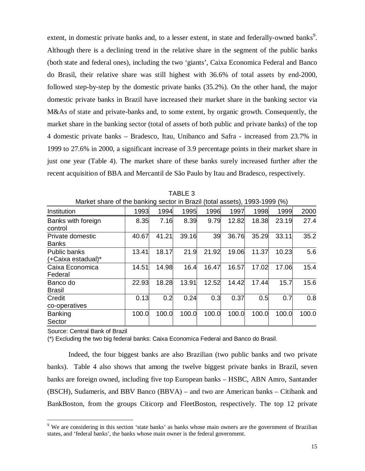extent, in domestic private banks and, to a lesser extent, in state and federally-owned banks<sup>9</sup>. Although there is a declining trend in the relative share in the segment of the public banks (both state and federal ones), including the two 'giants', Caixa Economica Federal and Banco do Brasil, their relative share was still highest with 36.6% of total assets by end-2000, followed step-by-step by the domestic private banks (35.2%). On the other hand, the major domestic private banks in Brazil have increased their market share in the banking sector via M&As of state and private-banks and, to some extent, by organic growth. Consequently, the market share in the banking sector (total of assets of both public and private banks) of the top 4 domestic private banks – Bradesco, Itau, Unibanco and Safra - increased from 23.7% in 1999 to 27.6% in 2000, a significant increase of 3.9 percentage points in their market share in just one year (Table 4). The market share of these banks surely increased further after the recent acquisition of BBA and Mercantil de São Paulo by Itau and Bradesco, respectively.

| Market share of the banking sector in Brazil (total assets), 1993-1999 (%) |       |       |       |       |       |       |       |       |
|----------------------------------------------------------------------------|-------|-------|-------|-------|-------|-------|-------|-------|
| Institution                                                                | 1993  | 1994  | 1995  | 1996  | 1997  | 1998  | 1999  | 2000  |
| Banks with foreign<br>control                                              | 8.35  | 7.16  | 8.39  | 9.79  | 12.82 | 18.38 | 23.19 | 27.4  |
| Private domestic<br><b>Banks</b>                                           | 40.67 | 41.21 | 39.16 | 39    | 36.76 | 35.29 | 33.11 | 35.2  |
| Public banks<br>(+Caixa estadual)*                                         | 13.41 | 18.17 | 21.9  | 21.92 | 19.06 | 11.37 | 10.23 | 5.6   |
| Caixa Economica<br>Federal                                                 | 14.51 | 14.98 | 16.4  | 16.47 | 16.57 | 17.02 | 17.06 | 15.4  |
| Banco do<br><b>Brasil</b>                                                  | 22.93 | 18.28 | 13.91 | 12.52 | 14.42 | 17.44 | 15.7  | 15.6  |
| Credit<br>co-operatives                                                    | 0.13  | 0.2   | 0.24  | 0.3   | 0.37  | 0.5   | 0.7   | 0.8   |
| <b>Banking</b><br>Sector                                                   | 100.0 | 100.0 | 100.0 | 100.0 | 100.0 | 100.0 | 100.0 | 100.0 |

TABLE 3

Source: Central Bank of Brazil

 $\overline{a}$ 

(\*) Excluding the two big federal banks: Caixa Economica Federal and Banco do Brasil.

Indeed, the four biggest banks are also Brazilian (two public banks and two private banks). Table 4 also shows that among the twelve biggest private banks in Brazil, seven banks are foreign owned, including five top European banks – HSBC, ABN Amro, Santander (BSCH), Sudameris, and BBV Banco (BBVA) – and two are American banks – Citibank and BankBoston, from the groups Citicorp and FleetBoston, respectively. The top 12 private

<sup>&</sup>lt;sup>9</sup> We are considering in this section 'state banks' as banks whose main owners are the government of Brazilian states, and 'federal banks', the banks whose main owner is the federal government.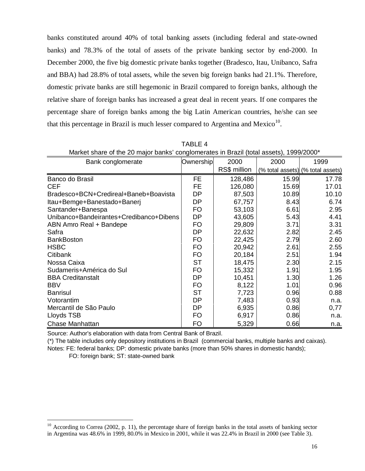banks constituted around 40% of total banking assets (including federal and state-owned banks) and 78.3% of the total of assets of the private banking sector by end-2000. In December 2000, the five big domestic private banks together (Bradesco, Itau, Unibanco, Safra and BBA) had 28.8% of total assets, while the seven big foreign banks had 21.1%. Therefore, domestic private banks are still hegemonic in Brazil compared to foreign banks, although the relative share of foreign banks has increased a great deal in recent years. If one compares the percentage share of foreign banks among the big Latin American countries, he/she can see that this percentage in Brazil is much lesser compared to Argentina and Mexico<sup>10</sup>.

| Market share of the 20 major banks' conglomerates in Brazil (total assets), 1999/2000* |           |              |       |                                   |  |  |  |  |
|----------------------------------------------------------------------------------------|-----------|--------------|-------|-----------------------------------|--|--|--|--|
| Bank conglomerate                                                                      | Ownership | 2000         | 2000  | 1999                              |  |  |  |  |
|                                                                                        |           | RS\$ million |       | (% total assets) (% total assets) |  |  |  |  |
| Banco do Brasil                                                                        | <b>FE</b> | 128,486      | 15.99 | 17.78                             |  |  |  |  |
| <b>CEF</b>                                                                             | <b>FE</b> | 126,080      | 15.69 | 17.01                             |  |  |  |  |
| Bradesco+BCN+Credireal+Baneb+Boavista                                                  | <b>DP</b> | 87,503       | 10.89 | 10.10                             |  |  |  |  |
| Itau+Bemge+Banestado+Banerj                                                            | <b>DP</b> | 67,757       | 8.43  | 6.74                              |  |  |  |  |
| Santander+Banespa                                                                      | <b>FO</b> | 53,103       | 6.61  | 2.95                              |  |  |  |  |
| Unibanco+Bandeirantes+Credibanco+Dibens                                                | DP        | 43,605       | 5.43  | 4.41                              |  |  |  |  |
| ABN Amro Real + Bandepe                                                                | <b>FO</b> | 29,809       | 3.71  | 3.31                              |  |  |  |  |
| Safra                                                                                  | DP        | 22,632       | 2.82  | 2.45                              |  |  |  |  |
| <b>BankBoston</b>                                                                      | <b>FO</b> | 22,425       | 2.79  | 2.60                              |  |  |  |  |
| <b>HSBC</b>                                                                            | <b>FO</b> | 20,942       | 2.61  | 2.55                              |  |  |  |  |
| <b>Citibank</b>                                                                        | FO        | 20,184       | 2.51  | 1.94                              |  |  |  |  |
| Nossa Caixa                                                                            | <b>ST</b> | 18,475       | 2.30  | 2.15                              |  |  |  |  |
| Sudameris+América do Sul                                                               | <b>FO</b> | 15,332       | 1.91  | 1.95                              |  |  |  |  |
| <b>BBA Creditanstalt</b>                                                               | <b>DP</b> | 10,451       | 1.30  | 1.26                              |  |  |  |  |
| <b>BBV</b>                                                                             | FO        | 8,122        | 1.01  | 0.96                              |  |  |  |  |
| <b>Banrisul</b>                                                                        | <b>ST</b> | 7,723        | 0.96  | 0.88                              |  |  |  |  |
| Votorantim                                                                             | DP        | 7,483        | 0.93  | n.a.                              |  |  |  |  |
| Mercantil de São Paulo                                                                 | DP        | 6,935        | 0.86  | 0,77                              |  |  |  |  |
| Lloyds TSB                                                                             | FO        | 6,917        | 0.86  | n.a.                              |  |  |  |  |
| Chase Manhattan                                                                        | <b>FO</b> | 5,329        | 0.66  | n.a.                              |  |  |  |  |

TABLE 4

Market share of the 20 major banks' conglomerates in Brazil (total assets), 1999/2000\*

Source: Author's elaboration with data from Central Bank of Brazil.

(\*) The table includes only depository institutions in Brazil (commercial banks, multiple banks and caixas).

Notes: FE: federal banks; DP: domestic private banks (more than 50% shares in domestic hands);

FO: foreign bank; ST: state-owned bank

 $10$  According to Correa (2002, p. 11), the percentage share of foreign banks in the total assets of banking sector in Argentina was 48.6% in 1999, 80.0% in Mexico in 2001, while it was 22.4% in Brazil in 2000 (see Table 3).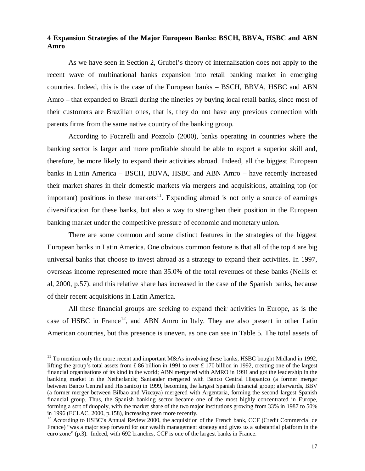## **4 Expansion Strategies of the Major European Banks: BSCH, BBVA, HSBC and ABN Amro**

As we have seen in Section 2, Grubel's theory of internalisation does not apply to the recent wave of multinational banks expansion into retail banking market in emerging countries. Indeed, this is the case of the European banks – BSCH, BBVA, HSBC and ABN Amro – that expanded to Brazil during the nineties by buying local retail banks, since most of their customers are Brazilian ones, that is, they do not have any previous connection with parents firms from the same native country of the banking group.

According to Focarelli and Pozzolo (2000), banks operating in countries where the banking sector is larger and more profitable should be able to export a superior skill and, therefore, be more likely to expand their activities abroad. Indeed, all the biggest European banks in Latin America – BSCH, BBVA, HSBC and ABN Amro – have recently increased their market shares in their domestic markets via mergers and acquisitions, attaining top (or important) positions in these markets<sup>11</sup>. Expanding abroad is not only a source of earnings diversification for these banks, but also a way to strengthen their position in the European banking market under the competitive pressure of economic and monetary union.

There are some common and some distinct features in the strategies of the biggest European banks in Latin America. One obvious common feature is that all of the top 4 are big universal banks that choose to invest abroad as a strategy to expand their activities. In 1997, overseas income represented more than 35.0% of the total revenues of these banks (Nellis et al, 2000, p.57), and this relative share has increased in the case of the Spanish banks, because of their recent acquisitions in Latin America.

All these financial groups are seeking to expand their activities in Europe, as is the case of HSBC in France<sup>12</sup>, and ABN Amro in Italy. They are also present in other Latin American countries, but this presence is uneven, as one can see in Table 5. The total assets of

 $11$  To mention only the more recent and important M&As involving these banks, HSBC bought Midland in 1992, lifting the group's total assets from £ 86 billion in 1991 to over £ 170 billion in 1992, creating one of the largest financial organisations of its kind in the world; ABN mergered with AMRO in 1991 and got the leadership in the banking market in the Netherlands; Santander mergered with Banco Central Hispanico (a former merger between Banco Central and Hispanico) in 1999, becoming the largest Spanish financial group; afterwards, BBV (a former merger between Bilbao and Vizcaya) mergered with Argentaria, forming the second largest Spanish financial group. Thus, the Spanish banking sector became one of the most highly concentrated in Europe, forming a sort of duopoly, with the market share of the two major institutions growing from 33% in 1987 to 50% in 1996 (ECLAC, 2000, p.158), increasing even more recently.<br><sup>12</sup> According to HSBC's Annual Review 2000, the acquisition of the French bank, CCF (Credit Commercial de

France) "was a major step forward for our wealth management strategy and gives us a substantial platform in the euro zone" (p.3). Indeed, with 692 branches, CCF is one of the largest banks in France.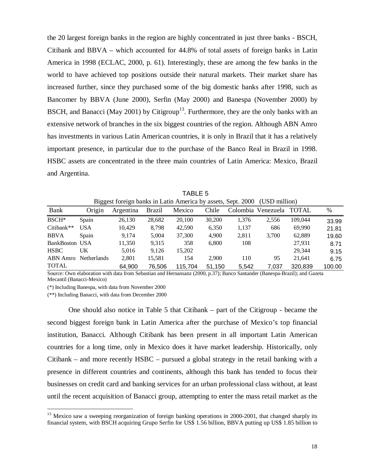the 20 largest foreign banks in the region are highly concentrated in just three banks - BSCH, Citibank and BBVA – which accounted for 44.8% of total assets of foreign banks in Latin America in 1998 (ECLAC, 2000, p. 61). Interestingly, these are among the few banks in the world to have achieved top positions outside their natural markets. Their market share has increased further, since they purchased some of the big domestic banks after 1998, such as Bancomer by BBVA (June 2000), Serfin (May 2000) and Banespa (November 2000) by BSCH, and Banacci (May 2001) by Citigroup<sup>13</sup>. Furthermore, they are the only banks with an extensive network of branches in the six biggest countries of the region. Although ABN Amro has investments in various Latin American countries, it is only in Brazil that it has a relatively important presence, in particular due to the purchase of the Banco Real in Brazil in 1998. HSBC assets are concentrated in the three main countries of Latin America: Mexico, Brazil and Argentina.

| Biggest foreign banks in Latin America by assets, Sept. 2000<br>(USD million) |                      |           |               |         |        |       |                          |         |               |
|-------------------------------------------------------------------------------|----------------------|-----------|---------------|---------|--------|-------|--------------------------|---------|---------------|
| Bank                                                                          | Origin               | Argentina | <b>Brazil</b> | Mexico  | Chile  |       | Colombia Venezuela TOTAL |         | $\frac{0}{0}$ |
| BSCH <sup>*</sup>                                                             | Spain                | 26,130    | 28,682        | 20,100  | 30,200 | 1.376 | 2,556                    | 109,044 | 33.99         |
| Citiban $k^*$                                                                 | <b>USA</b>           | 10.429    | 8,798         | 42,590  | 6,350  | 1,137 | 686                      | 69,990  | 21.81         |
| <b>BBVA</b>                                                                   | Spain                | 9.174     | 5.004         | 37,300  | 4.900  | 2,811 | 3.700                    | 62,889  | 19.60         |
| BankBoston USA                                                                |                      | 11,350    | 9,315         | 358     | 6,800  | 108   |                          | 27,931  | 8.71          |
| <b>HSBC</b>                                                                   | UK.                  | 5.016     | 9.126         | 15,202  |        |       |                          | 29.344  | 9.15          |
|                                                                               | ABN Amro Netherlands | 2.801     | 15.581        | 154     | 2.900  | 110   | 95                       | 21,641  | 6.75          |
| <b>TOTAL</b>                                                                  |                      | 64,900    | 76.506        | 115.704 | 51.150 | 5,542 | 7,037                    | 320,839 | 100.00        |

TABLE 5

Source: Own elaboration with data from Sebastian and Hernansanz (2000, p.37); Banco Santander (Banespa-Brazil); and Gazeta Mecantil (Banacci-Mexico)

(\*) Including Banespa, with data from November 2000

(\*\*) Including Banacci, with data from December 2000

 $\overline{a}$ 

One should also notice in Table 5 that Citibank – part of the Citigroup - became the second biggest foreign bank in Latin America after the purchase of Mexico's top financial institution, Banacci. Although Citibank has been present in all important Latin American countries for a long time, only in Mexico does it have market leadership. Historically, only Citibank – and more recently HSBC – pursued a global strategy in the retail banking with a presence in different countries and continents, although this bank has tended to focus their businesses on credit card and banking services for an urban professional class without, at least until the recent acquisition of Banacci group, attempting to enter the mass retail market as the

<sup>&</sup>lt;sup>13</sup> Mexico saw a sweeping reorganization of foreign banking operations in 2000-2001, that changed sharply its financial system, with BSCH acquiring Grupo Serfin for US\$ 1.56 billion, BBVA putting up US\$ 1.85 billion to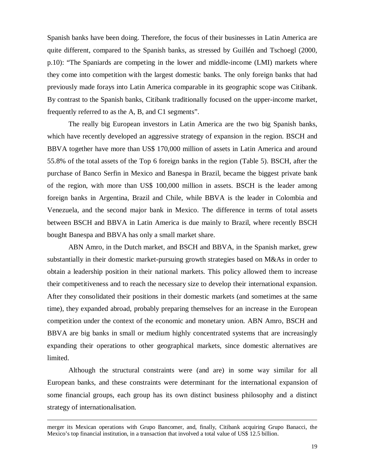Spanish banks have been doing. Therefore, the focus of their businesses in Latin America are quite different, compared to the Spanish banks, as stressed by Guillén and Tschoegl (2000, p.10): "The Spaniards are competing in the lower and middle-income (LMI) markets where they come into competition with the largest domestic banks. The only foreign banks that had previously made forays into Latin America comparable in its geographic scope was Citibank. By contrast to the Spanish banks, Citibank traditionally focused on the upper-income market, frequently referred to as the A, B, and C1 segments".

The really big European investors in Latin America are the two big Spanish banks, which have recently developed an aggressive strategy of expansion in the region. BSCH and BBVA together have more than US\$ 170,000 million of assets in Latin America and around 55.8% of the total assets of the Top 6 foreign banks in the region (Table 5). BSCH, after the purchase of Banco Serfin in Mexico and Banespa in Brazil, became the biggest private bank of the region, with more than US\$ 100,000 million in assets. BSCH is the leader among foreign banks in Argentina, Brazil and Chile, while BBVA is the leader in Colombia and Venezuela, and the second major bank in Mexico. The difference in terms of total assets between BSCH and BBVA in Latin America is due mainly to Brazil, where recently BSCH bought Banespa and BBVA has only a small market share.

ABN Amro, in the Dutch market, and BSCH and BBVA, in the Spanish market, grew substantially in their domestic market-pursuing growth strategies based on M&As in order to obtain a leadership position in their national markets. This policy allowed them to increase their competitiveness and to reach the necessary size to develop their international expansion. After they consolidated their positions in their domestic markets (and sometimes at the same time), they expanded abroad, probably preparing themselves for an increase in the European competition under the context of the economic and monetary union. ABN Amro, BSCH and BBVA are big banks in small or medium highly concentrated systems that are increasingly expanding their operations to other geographical markets, since domestic alternatives are limited.

Although the structural constraints were (and are) in some way similar for all European banks, and these constraints were determinant for the international expansion of some financial groups, each group has its own distinct business philosophy and a distinct strategy of internationalisation.

merger its Mexican operations with Grupo Bancomer, and, finally, Citibank acquiring Grupo Banacci, the Mexico's top financial institution, in a transaction that involved a total value of US\$ 12.5 billion.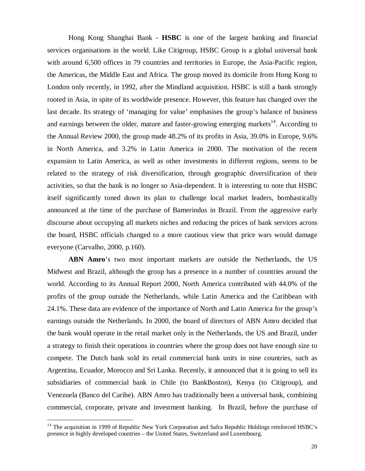Hong Kong Shanghai Bank - **HSBC** is one of the largest banking and financial services organisations in the world. Like Citigroup, HSBC Group is a global universal bank with around 6,500 offices in 79 countries and territories in Europe, the Asia-Pacific region, the Americas, the Middle East and Africa. The group moved its domicile from Hong Kong to London only recently, in 1992, after the Mindland acquisition. HSBC is still a bank strongly rooted in Asia, in spite of its worldwide presence. However, this feature has changed over the last decade. Its strategy of 'managing for value' emphasises the group's balance of business and earnings between the older, mature and faster-growing emerging markets<sup>14</sup>. According to the Annual Review 2000, the group made 48.2% of its profits in Asia, 39.0% in Europe, 9.6% in North America, and 3.2% in Latin America in 2000. The motivation of the recent expansion to Latin America, as well as other investments in different regions, seems to be related to the strategy of risk diversification, through geographic diversification of their activities, so that the bank is no longer so Asia-dependent. It is interesting to note that HSBC itself significantly toned down its plan to challenge local market leaders, bombastically announced at the time of the purchase of Bamerindus in Brazil. From the aggressive early discourse about occupying all markets niches and reducing the prices of bank services across the board, HSBC officials changed to a more cautious view that price wars would damage everyone (Carvalho, 2000, p.160).

**ABN Amro**'s two most important markets are outside the Netherlands, the US Midwest and Brazil, although the group has a presence in a number of countries around the world. According to its Annual Report 2000, North America contributed with 44.0% of the profits of the group outside the Netherlands, while Latin America and the Caribbean with 24.1%. These data are evidence of the importance of North and Latin America for the group's earnings outside the Netherlands. In 2000, the board of directors of ABN Amro decided that the bank would operate in the retail market only in the Netherlands, the US and Brazil, under a strategy to finish their operations in countries where the group does not have enough size to compete. The Dutch bank sold its retail commercial bank units in nine countries, such as Argentina, Ecuador, Morocco and Sri Lanka. Recently, it announced that it is going to sell its subsidiaries of commercial bank in Chile (to BankBoston), Kenya (to Citigroup), and Venezuela (Banco del Caribe). ABN Amro has traditionally been a universal bank, combining commercial, corporate, private and investment banking. In Brazil, before the purchase of

<sup>&</sup>lt;sup>14</sup> The acquisition in 1999 of Republic New York Corporation and Safra Republic Holdings reinforced HSBC's presence in highly developed countries – the United States, Switzerland and Luxembourg.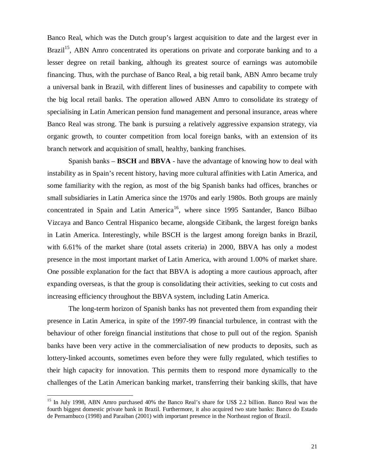Banco Real, which was the Dutch group's largest acquisition to date and the largest ever in Brazil<sup>15</sup>, ABN Amro concentrated its operations on private and corporate banking and to a lesser degree on retail banking, although its greatest source of earnings was automobile financing. Thus, with the purchase of Banco Real, a big retail bank, ABN Amro became truly a universal bank in Brazil, with different lines of businesses and capability to compete with the big local retail banks. The operation allowed ABN Amro to consolidate its strategy of specialising in Latin American pension fund management and personal insurance, areas where Banco Real was strong. The bank is pursuing a relatively aggressive expansion strategy, via organic growth, to counter competition from local foreign banks, with an extension of its branch network and acquisition of small, healthy, banking franchises.

Spanish banks – **BSCH** and **BBVA** - have the advantage of knowing how to deal with instability as in Spain's recent history, having more cultural affinities with Latin America, and some familiarity with the region, as most of the big Spanish banks had offices, branches or small subsidiaries in Latin America since the 1970s and early 1980s. Both groups are mainly concentrated in Spain and Latin America<sup>16</sup>, where since 1995 Santander, Banco Bilbao Vizcaya and Banco Central Hispanico became, alongside Citibank, the largest foreign banks in Latin America. Interestingly, while BSCH is the largest among foreign banks in Brazil, with 6.61% of the market share (total assets criteria) in 2000, BBVA has only a modest presence in the most important market of Latin America, with around 1.00% of market share. One possible explanation for the fact that BBVA is adopting a more cautious approach, after expanding overseas, is that the group is consolidating their activities, seeking to cut costs and increasing efficiency throughout the BBVA system, including Latin America.

The long-term horizon of Spanish banks has not prevented them from expanding their presence in Latin America, in spite of the 1997-99 financial turbulence, in contrast with the behaviour of other foreign financial institutions that chose to pull out of the region. Spanish banks have been very active in the commercialisation of new products to deposits, such as lottery-linked accounts, sometimes even before they were fully regulated, which testifies to their high capacity for innovation. This permits them to respond more dynamically to the challenges of the Latin American banking market, transferring their banking skills, that have

<sup>&</sup>lt;sup>15</sup> In July 1998, ABN Amro purchased 40% the Banco Real's share for US\$ 2.2 billion. Banco Real was the fourth biggest domestic private bank in Brazil. Furthermore, it also acquired two state banks: Banco do Estado de Pernambuco (1998) and Paraiban (2001) with important presence in the Northeast region of Brazil.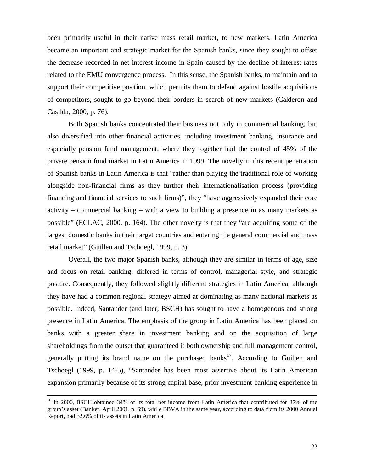been primarily useful in their native mass retail market, to new markets. Latin America became an important and strategic market for the Spanish banks, since they sought to offset the decrease recorded in net interest income in Spain caused by the decline of interest rates related to the EMU convergence process. In this sense, the Spanish banks, to maintain and to support their competitive position, which permits them to defend against hostile acquisitions of competitors, sought to go beyond their borders in search of new markets (Calderon and Casilda, 2000, p. 76).

Both Spanish banks concentrated their business not only in commercial banking, but also diversified into other financial activities, including investment banking, insurance and especially pension fund management, where they together had the control of 45% of the private pension fund market in Latin America in 1999. The novelty in this recent penetration of Spanish banks in Latin America is that "rather than playing the traditional role of working alongside non-financial firms as they further their internationalisation process (providing financing and financial services to such firms)", they "have aggressively expanded their core activity – commercial banking – with a view to building a presence in as many markets as possible" (ECLAC, 2000, p. 164). The other novelty is that they "are acquiring some of the largest domestic banks in their target countries and entering the general commercial and mass retail market" (Guillen and Tschoegl, 1999, p. 3).

Overall, the two major Spanish banks, although they are similar in terms of age, size and focus on retail banking, differed in terms of control, managerial style, and strategic posture. Consequently, they followed slightly different strategies in Latin America, although they have had a common regional strategy aimed at dominating as many national markets as possible. Indeed, Santander (and later, BSCH) has sought to have a homogenous and strong presence in Latin America. The emphasis of the group in Latin America has been placed on banks with a greater share in investment banking and on the acquisition of large shareholdings from the outset that guaranteed it both ownership and full management control, generally putting its brand name on the purchased banks<sup>17</sup>. According to Guillen and Tschoegl (1999, p. 14-5), "Santander has been most assertive about its Latin American expansion primarily because of its strong capital base, prior investment banking experience in

<sup>&</sup>lt;sup>16</sup> In 2000. BSCH obtained 34% of its total net income from Latin America that contributed for 37% of the group's asset (Banker, April 2001, p. 69), while BBVA in the same year, according to data from its 2000 Annual Report, had 32.6% of its assets in Latin America.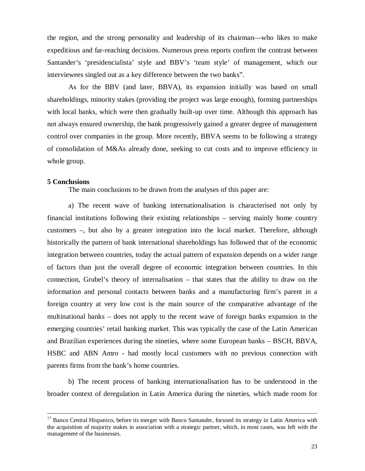the region, and the strong personality and leadership of its chairman—who likes to make expeditious and far-reaching decisions. Numerous press reports confirm the contrast between Santander's 'presidencialista' style and BBV's 'team style' of management, which our interviewees singled out as a key difference between the two banks".

As for the BBV (and later, BBVA), its expansion initially was based on small shareholdings, minority stakes (providing the project was large enough), forming partnerships with local banks, which were then gradually built-up over time. Although this approach has not always ensured ownership, the bank progressively gained a greater degree of management control over companies in the group. More recently, BBVA seems to be following a strategy of consolidation of M&As already done, seeking to cut costs and to improve efficiency in whole group.

## **5 Conclusions**

The main conclusions to be drawn from the analyses of this paper are:

a) The recent wave of banking internationalisation is characterised not only by financial institutions following their existing relationships – serving mainly home country customers –, but also by a greater integration into the local market. Therefore, although historically the pattern of bank international shareholdings has followed that of the economic integration between countries, today the actual pattern of expansion depends on a wider range of factors than just the overall degree of economic integration between countries. In this connection, Grubel's theory of internalisation – that states that the ability to draw on the information and personal contacts between banks and a manufacturing firm's parent in a foreign country at very low cost is the main source of the comparative advantage of the multinational banks – does not apply to the recent wave of foreign banks expansion in the emerging countries' retail banking market. This was typically the case of the Latin American and Brazilian experiences during the nineties, where some European banks – BSCH, BBVA, HSBC and ABN Amro - had mostly local customers with no previous connection with parents firms from the bank's home countries.

b) The recent process of banking internationalisation has to be understood in the broader context of deregulation in Latin America during the nineties, which made room for

<sup>&</sup>lt;sup>17</sup> Banco Central Hispanico, before its merger with Banco Santander, focused its strategy in Latin America with the acquisition of majority stakes in association with a strategic partner, which, in most cases, was left with the management of the businesses.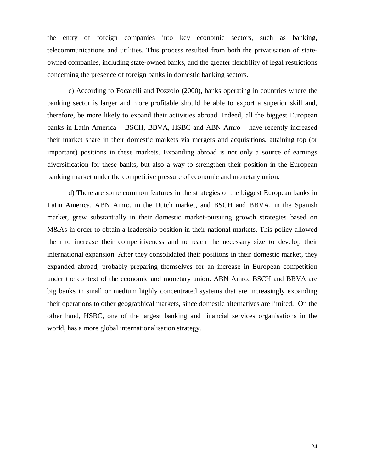the entry of foreign companies into key economic sectors, such as banking, telecommunications and utilities. This process resulted from both the privatisation of stateowned companies, including state-owned banks, and the greater flexibility of legal restrictions concerning the presence of foreign banks in domestic banking sectors.

c) According to Focarelli and Pozzolo (2000), banks operating in countries where the banking sector is larger and more profitable should be able to export a superior skill and, therefore, be more likely to expand their activities abroad. Indeed, all the biggest European banks in Latin America – BSCH, BBVA, HSBC and ABN Amro – have recently increased their market share in their domestic markets via mergers and acquisitions, attaining top (or important) positions in these markets. Expanding abroad is not only a source of earnings diversification for these banks, but also a way to strengthen their position in the European banking market under the competitive pressure of economic and monetary union.

d) There are some common features in the strategies of the biggest European banks in Latin America. ABN Amro, in the Dutch market, and BSCH and BBVA, in the Spanish market, grew substantially in their domestic market-pursuing growth strategies based on M&As in order to obtain a leadership position in their national markets. This policy allowed them to increase their competitiveness and to reach the necessary size to develop their international expansion. After they consolidated their positions in their domestic market, they expanded abroad, probably preparing themselves for an increase in European competition under the context of the economic and monetary union. ABN Amro, BSCH and BBVA are big banks in small or medium highly concentrated systems that are increasingly expanding their operations to other geographical markets, since domestic alternatives are limited. On the other hand, HSBC, one of the largest banking and financial services organisations in the world, has a more global internationalisation strategy.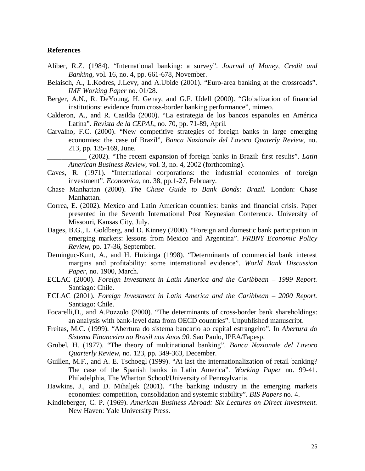#### **References**

- Aliber, R.Z. (1984). "International banking: a survey". *Journal of Money, Credit and Banking,* vol. 16, no. 4, pp. 661-678, November.
- Belaisch, A., L.Kodres, J.Levy, and A.Ubide (2001). "Euro-area banking at the crossroads". *IMF Working Paper* no. 01/28.
- Berger, A.N., R. DeYoung, H. Genay, and G.F. Udell (2000). "Globalization of financial institutions: evidence from cross-border banking performance", mimeo.
- Calderon, A., and R. Casilda (2000). "La estrategia de los bancos espanoles en América Latina". *Revista de la CEPAL*, no. 70, pp. 71-89, April.
- Carvalho, F.C. (2000). "New competitive strategies of foreign banks in large emerging economies: the case of Brazil", *Banca Nazionale del Lavoro Quaterly Review*, no. 213, pp. 135-169, June.

\_\_\_\_\_\_\_\_\_\_\_ (2002). "The recent expansion of foreign banks in Brazil: first results". *Latin American Business Review*, vol. 3, no. 4, 2002 (forthcoming).

- Caves, R. (1971). "International corporations: the industrial economics of foreign investment". *Economica*, no. 38, pp.1-27, February.
- Chase Manhattan (2000). *The Chase Guide to Bank Bonds: Brazil.* London: Chase Manhattan.
- Correa, E. (2002). Mexico and Latin American countries: banks and financial crisis. Paper presented in the Seventh International Post Keynesian Conference. University of Missouri, Kansas City, July.
- Dages, B.G., L. Goldberg, and D. Kinney (2000). "Foreign and domestic bank participation in emerging markets: lessons from Mexico and Argentina". *FRBNY Economic Policy Review*, pp. 17-36, September.
- Deminguc-Kunt, A., and H. Huizinga (1998). "Determinants of commercial bank interest margins and profitability: some international evidence". *World Bank Discussion Paper,* no. 1900, March.
- ECLAC (2000). *Foreign Investment in Latin America and the Caribbean 1999 Report.* Santiago: Chile.
- ECLAC (2001). *Foreign Investment in Latin America and the Caribbean 2000 Report.* Santiago: Chile.
- Focarelli,D., and A.Pozzolo (2000). "The determinants of cross-border bank shareholdings: an analysis with bank-level data from OECD countries". Unpublished manuscript.
- Freitas, M.C. (1999). "Abertura do sistema bancario ao capital estrangeiro". In *Abertura do Sistema Financeiro no Brasil nos Anos 90*. Sao Paulo, IPEA/Fapesp.
- Grubel, H. (1977). "The theory of multinational banking". *Banca Nazionale del Lavoro Quarterly Review,* no. 123, pp. 349-363, December.
- Guillen, M.F., and A. E. Tschoegl (1999). "At last the internationalization of retail banking? The case of the Spanish banks in Latin America". *Working Paper* no. 99-41. Philadelphia, The Wharton School/University of Pennsylvania.
- Hawkins, J., and D. Mihaljek (2001). "The banking industry in the emerging markets economies: competition, consolidation and systemic stability". *BIS Papers* no. 4.
- Kindleberger, C. P. (1969). *American Business Abroad: Six Lectures on Direct Investment.* New Haven: Yale University Press.